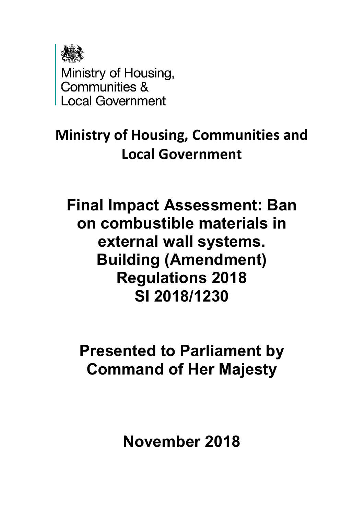

# **Ministry of Housing, Communities and Local Government**

**Final Impact Assessment: Ban on combustible materials in external wall systems. Building (Amendment) Regulations 2018 SI 2018/1230**

**Presented to Parliament by Command of Her Majesty**

**November 2018**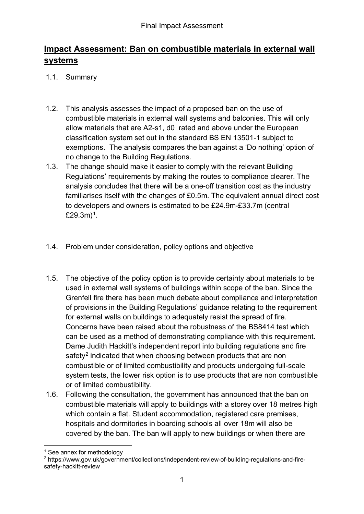# **Impact Assessment: Ban on combustible materials in external wall systems**

## 1.1. Summary

- 1.2. This analysis assesses the impact of a proposed ban on the use of combustible materials in external wall systems and balconies. This will only allow materials that are A2-s1, d0 rated and above under the European classification system set out in the standard BS EN 13501-1 subject to exemptions. The analysis compares the ban against a 'Do nothing' option of no change to the Building Regulations.
- 1.3. The change should make it easier to comply with the relevant Building Regulations' requirements by making the routes to compliance clearer. The analysis concludes that there will be a one-off transition cost as the industry familiarises itself with the changes of £0.5m. The equivalent annual direct cost to developers and owners is estimated to be £24.9m-£33.7m (central £29.3m $)^1$ .
- 1.4. Problem under consideration, policy options and objective
- 1.5. The objective of the policy option is to provide certainty about materials to be used in external wall systems of buildings within scope of the ban. Since the Grenfell fire there has been much debate about compliance and interpretation of provisions in the Building Regulations' guidance relating to the requirement for external walls on buildings to adequately resist the spread of fire. Concerns have been raised about the robustness of the BS8414 test which can be used as a method of demonstrating compliance with this requirement. Dame Judith Hackitt's independent report into building regulations and fire safety<sup>[2](#page-1-1)</sup> indicated that when choosing between products that are non combustible or of limited combustibility and products undergoing full-scale system tests, the lower risk option is to use products that are non combustible or of limited combustibility.
- 1.6. Following the consultation, the government has announced that the ban on combustible materials will apply to buildings with a storey over 18 metres high which contain a flat. Student accommodation, registered care premises, hospitals and dormitories in boarding schools all over 18m will also be covered by the ban. The ban will apply to new buildings or when there are

<span id="page-1-0"></span><sup>&</sup>lt;sup>1</sup> See annex for methodology

<span id="page-1-1"></span><sup>2</sup> https://www.gov.uk/government/collections/independent-review-of-building-regulations-and-firesafety-hackitt-review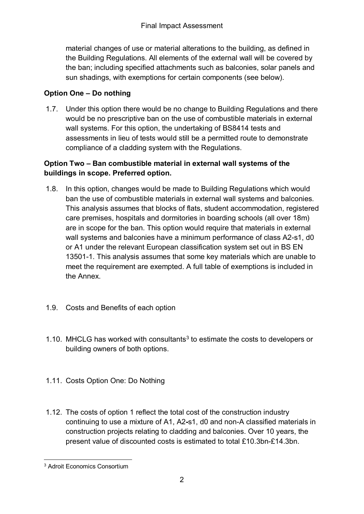material changes of use or material alterations to the building, as defined in the Building Regulations. All elements of the external wall will be covered by the ban; including specified attachments such as balconies, solar panels and sun shadings, with exemptions for certain components (see below).

# **Option One – Do nothing**

1.7. Under this option there would be no change to Building Regulations and there would be no prescriptive ban on the use of combustible materials in external wall systems. For this option, the undertaking of BS8414 tests and assessments in lieu of tests would still be a permitted route to demonstrate compliance of a cladding system with the Regulations.

## **Option Two – Ban combustible material in external wall systems of the buildings in scope. Preferred option.**

- 1.8. In this option, changes would be made to Building Regulations which would ban the use of combustible materials in external wall systems and balconies. This analysis assumes that blocks of flats, student accommodation, registered care premises, hospitals and dormitories in boarding schools (all over 18m) are in scope for the ban. This option would require that materials in external wall systems and balconies have a minimum performance of class A2-s1, d0 or A1 under the relevant European classification system set out in BS EN 13501-1. This analysis assumes that some key materials which are unable to meet the requirement are exempted. A full table of exemptions is included in the Annex.
- 1.9. Costs and Benefits of each option
- 1.10. MHCLG has worked with consultants<sup>[3](#page-2-0)</sup> to estimate the costs to developers or building owners of both options.
- 1.11. Costs Option One: Do Nothing
- 1.12. The costs of option 1 reflect the total cost of the construction industry continuing to use a mixture of A1, A2**-**s1, d0 and non-A classified materials in construction projects relating to cladding and balconies. Over 10 years, the present value of discounted costs is estimated to total £10.3bn-£14.3bn.

<span id="page-2-0"></span> <sup>3</sup> Adroit Economics Consortium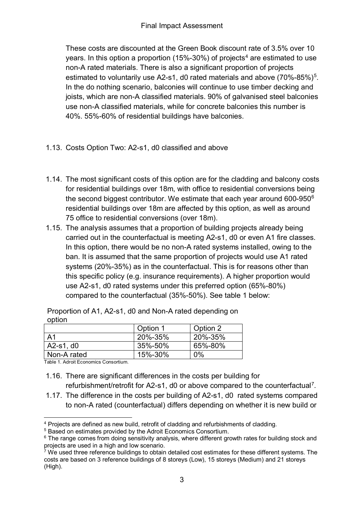These costs are discounted at the Green Book discount rate of 3.5% over 10 years. In this option a proportion (15%-30%) of projects<sup>[4](#page-3-0)</sup> are estimated to use non-A rated materials. There is also a significant proportion of projects estimated to voluntarily use A2-s1, d0 rated materials and above (70%-85%)[5.](#page-3-1) In the do nothing scenario, balconies will continue to use timber decking and joists, which are non-A classified materials. 90% of galvanised steel balconies use non-A classified materials, while for concrete balconies this number is 40%. 55%-60% of residential buildings have balconies.

- 1.13. Costs Option Two: A2-s1, d0 classified and above
- 1.14. The most significant costs of this option are for the cladding and balcony costs for residential buildings over 18m, with office to residential conversions being the second biggest contributor. We estimate that each year around  $600-950^6$  $600-950^6$ residential buildings over 18m are affected by this option, as well as around 75 office to residential conversions (over 18m).
- 1.15. The analysis assumes that a proportion of building projects already being carried out in the counterfactual is meeting A2-s1, d0 or even A1 fire classes. In this option, there would be no non-A rated systems installed, owing to the ban. It is assumed that the same proportion of projects would use A1 rated systems (20%-35%) as in the counterfactual. This is for reasons other than this specific policy (e.g. insurance requirements). A higher proportion would use A2-s1, d0 rated systems under this preferred option (65%-80%) compared to the counterfactual (35%-50%). See table 1 below:

| -------        |          |          |
|----------------|----------|----------|
|                | Option 1 | Option 2 |
| A <sub>1</sub> | 20%-35%  | 20%-35%  |
| A2-s1, d0      | 35%-50%  | 65%-80%  |
| Non-A rated    | 15%-30%  | $0\%$    |

Proportion of A1, A2-s1, d0 and Non-A rated depending on option

Table 1. Adroit Economics Consortium.

- 1.16. There are significant differences in the costs per building for refurbishment/retrofit for A2-s1, d0 or above compared to the counterfactual<sup>7</sup>.
- 1.17. The difference in the costs per building of A2-s1, d0 rated systems compared to non-A rated (counterfactual) differs depending on whether it is new build or

<span id="page-3-0"></span> <sup>4</sup> Projects are defined as new build, retrofit of cladding and refurbishments of cladding.

<span id="page-3-1"></span><sup>5</sup> Based on estimates provided by the Adroit Economics Consortium.

<span id="page-3-2"></span><sup>&</sup>lt;sup>6</sup> The range comes from doing sensitivity analysis, where different growth rates for building stock and projects are used in a high and low scenario.

<span id="page-3-3"></span> $\frac{7}{7}$  We used three reference buildings to obtain detailed cost estimates for these different systems. The costs are based on 3 reference buildings of 8 storeys (Low), 15 storeys (Medium) and 21 storeys (High).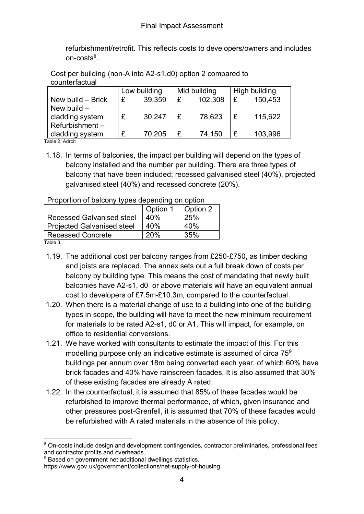refurbishment/retrofit. This reflects costs to developers/owners and includes on-costs<sup>8</sup>.

| <u>oountonavtuu</u> |              |        |              |         |               |         |
|---------------------|--------------|--------|--------------|---------|---------------|---------|
|                     | Low building |        | Mid building |         | High building |         |
| New build - Brick   |              | 39,359 | £            | 102,308 | £             | 150,453 |
| New build $-$       |              |        |              |         |               |         |
| cladding system     |              | 30,247 |              | 78,623  |               | 115,622 |
| $Refurbishment -$   |              |        |              |         |               |         |
| cladding system     |              | 70,205 | £            | 74,150  |               | 103,996 |

Cost per building (non-A into A2-s1,d0) option 2 compared to counterfactual

Table 2. Adroit

1.18. In terms of balconies, the impact per building will depend on the types of balcony installed and the number per building. There are three types of balcony that have been included; recessed galvanised steel (40%), projected galvanised steel (40%) and recessed concrete (20%).

| <b>I</b> TOPORTOIT OF DATCOITY types depending Off Option |          |          |  |  |  |  |
|-----------------------------------------------------------|----------|----------|--|--|--|--|
|                                                           | Option 1 | Option 2 |  |  |  |  |
| <b>Recessed Galvanised steel</b>                          | 40%      | 25%      |  |  |  |  |
| <b>Projected Galvanised steel</b>                         | 40%      | 40%      |  |  |  |  |
| <b>Recessed Concrete</b>                                  | 20%      | 35%      |  |  |  |  |
|                                                           |          |          |  |  |  |  |

Proportion of balcony types depending on option

Table 3.

- 1.19. The additional cost per balcony ranges from £250-£750, as timber decking and joists are replaced. The annex sets out a full break down of costs per balcony by building type. This means the cost of mandating that newly built balconies have A2-s1, d0 or above materials will have an equivalent annual cost to developers of £7.5m-£10.3m, compared to the counterfactual.
- 1.20. When there is a material change of use to a building into one of the building types in scope, the building will have to meet the new minimum requirement for materials to be rated A2-s1, d0 or A1. This will impact, for example, on office to residential conversions.
- 1.21. We have worked with consultants to estimate the impact of this. For this modelling purpose only an indicative estimate is assumed of circa 75<sup>[9](#page-4-1)</sup> buildings per annum over 18m being converted each year, of which 60% have brick facades and 40% have rainscreen facades. It is also assumed that 30% of these existing facades are already A rated.
- 1.22. In the counterfactual, it is assumed that 85% of these facades would be refurbished to improve thermal performance, of which, given insurance and other pressures post-Grenfell, it is assumed that 70% of these facades would be refurbished with A rated materials in the absence of this policy.

<span id="page-4-0"></span><sup>&</sup>lt;sup>8</sup> On-costs include design and development contingencies, contractor preliminaries, professional fees and contractor profits and overheads.

<span id="page-4-1"></span><sup>&</sup>lt;sup>9</sup> Based on government net additional dwellings statistics.

https://www.gov.uk/government/collections/net-supply-of-housing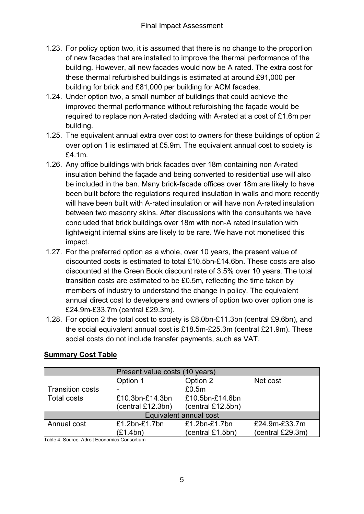- 1.23. For policy option two, it is assumed that there is no change to the proportion of new facades that are installed to improve the thermal performance of the building. However, all new facades would now be A rated. The extra cost for these thermal refurbished buildings is estimated at around £91,000 per building for brick and £81,000 per building for ACM facades.
- 1.24. Under option two, a small number of buildings that could achieve the improved thermal performance without refurbishing the façade would be required to replace non A-rated cladding with A-rated at a cost of £1.6m per building.
- 1.25. The equivalent annual extra over cost to owners for these buildings of option 2 over option 1 is estimated at £5.9m. The equivalent annual cost to society is £4.1m.
- 1.26. Any office buildings with brick facades over 18m containing non A-rated insulation behind the façade and being converted to residential use will also be included in the ban. Many brick-facade offices over 18m are likely to have been built before the regulations required insulation in walls and more recently will have been built with A-rated insulation or will have non A-rated insulation between two masonry skins. After discussions with the consultants we have concluded that brick buildings over 18m with non-A rated insulation with lightweight internal skins are likely to be rare. We have not monetised this impact.
- 1.27. For the preferred option as a whole, over 10 years, the present value of discounted costs is estimated to total £10.5bn-£14.6bn. These costs are also discounted at the Green Book discount rate of 3.5% over 10 years. The total transition costs are estimated to be £0.5m, reflecting the time taken by members of industry to understand the change in policy. The equivalent annual direct cost to developers and owners of option two over option one is £24.9m-£33.7m (central £29.3m).
- 1.28. For option 2 the total cost to society is £8.0bn-£11.3bn (central £9.6bn), and the social equivalent annual cost is £18.5m-£25.3m (central £21.9m). These social costs do not include transfer payments, such as VAT.

| Present value costs (10 years) |                                  |                   |                  |  |  |  |
|--------------------------------|----------------------------------|-------------------|------------------|--|--|--|
|                                | Option 2<br>Option 1<br>Net cost |                   |                  |  |  |  |
| <b>Transition costs</b>        |                                  | £0.5m             |                  |  |  |  |
| <b>Total costs</b>             | £10.3bn-£14.3bn                  | £10.5bn-£14.6bn   |                  |  |  |  |
|                                | (central £12.3bn)                | (central £12.5bn) |                  |  |  |  |
| Equivalent annual cost         |                                  |                   |                  |  |  |  |
| Annual cost                    | £1.2bn-£1.7bn                    | £1.2bn-£1.7bn     | £24.9m-£33.7m    |  |  |  |
|                                | (E1.4bn)                         | (central £1.5bn)  | (central £29.3m) |  |  |  |

## **Summary Cost Table**

Table 4. Source: Adroit Economics Consortium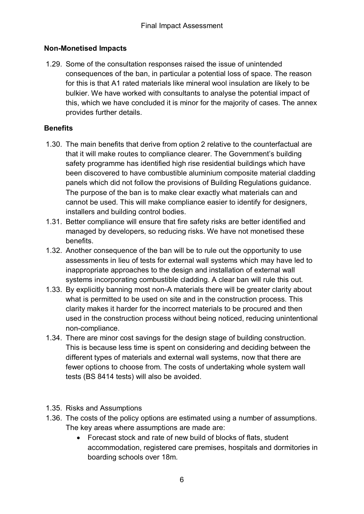### **Non-Monetised Impacts**

1.29. Some of the consultation responses raised the issue of unintended consequences of the ban, in particular a potential loss of space. The reason for this is that A1 rated materials like mineral wool insulation are likely to be bulkier. We have worked with consultants to analyse the potential impact of this, which we have concluded it is minor for the majority of cases. The annex provides further details.

#### **Benefits**

- 1.30. The main benefits that derive from option 2 relative to the counterfactual are that it will make routes to compliance clearer. The Government's building safety programme has identified high rise residential buildings which have been discovered to have combustible aluminium composite material cladding panels which did not follow the provisions of Building Regulations guidance. The purpose of the ban is to make clear exactly what materials can and cannot be used. This will make compliance easier to identify for designers, installers and building control bodies.
- 1.31. Better compliance will ensure that fire safety risks are better identified and managed by developers, so reducing risks. We have not monetised these benefits.
- 1.32. Another consequence of the ban will be to rule out the opportunity to use assessments in lieu of tests for external wall systems which may have led to inappropriate approaches to the design and installation of external wall systems incorporating combustible cladding. A clear ban will rule this out.
- 1.33. By explicitly banning most non-A materials there will be greater clarity about what is permitted to be used on site and in the construction process. This clarity makes it harder for the incorrect materials to be procured and then used in the construction process without being noticed, reducing unintentional non-compliance.
- 1.34. There are minor cost savings for the design stage of building construction. This is because less time is spent on considering and deciding between the different types of materials and external wall systems, now that there are fewer options to choose from. The costs of undertaking whole system wall tests (BS 8414 tests) will also be avoided.
- 1.35. Risks and Assumptions
- 1.36. The costs of the policy options are estimated using a number of assumptions. The key areas where assumptions are made are:
	- Forecast stock and rate of new build of blocks of flats, student accommodation, registered care premises, hospitals and dormitories in boarding schools over 18m.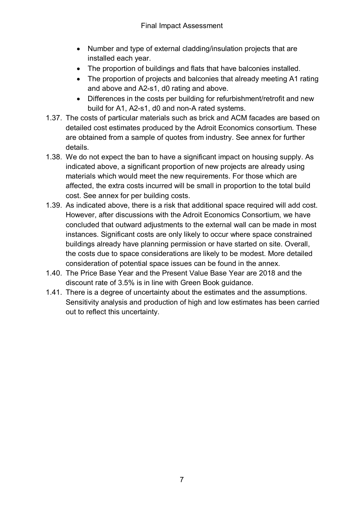- Number and type of external cladding/insulation projects that are installed each year.
- The proportion of buildings and flats that have balconies installed.
- The proportion of projects and balconies that already meeting A1 rating and above and A2-s1, d0 rating and above.
- Differences in the costs per building for refurbishment/retrofit and new build for A1, A2-s1, d0 and non-A rated systems.
- 1.37. The costs of particular materials such as brick and ACM facades are based on detailed cost estimates produced by the Adroit Economics consortium. These are obtained from a sample of quotes from industry. See annex for further details.
- 1.38. We do not expect the ban to have a significant impact on housing supply. As indicated above, a significant proportion of new projects are already using materials which would meet the new requirements. For those which are affected, the extra costs incurred will be small in proportion to the total build cost. See annex for per building costs.
- 1.39. As indicated above, there is a risk that additional space required will add cost. However, after discussions with the Adroit Economics Consortium, we have concluded that outward adjustments to the external wall can be made in most instances. Significant costs are only likely to occur where space constrained buildings already have planning permission or have started on site. Overall, the costs due to space considerations are likely to be modest. More detailed consideration of potential space issues can be found in the annex.
- 1.40. The Price Base Year and the Present Value Base Year are 2018 and the discount rate of 3.5% is in line with Green Book guidance.
- 1.41. There is a degree of uncertainty about the estimates and the assumptions. Sensitivity analysis and production of high and low estimates has been carried out to reflect this uncertainty.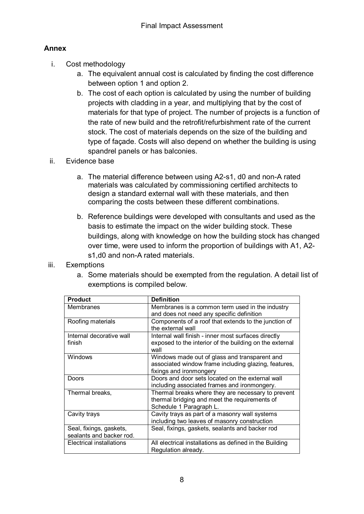## **Annex**

- i. Cost methodology
	- a. The equivalent annual cost is calculated by finding the cost difference between option 1 and option 2.
	- b. The cost of each option is calculated by using the number of building projects with cladding in a year, and multiplying that by the cost of materials for that type of project. The number of projects is a function of the rate of new build and the retrofit/refurbishment rate of the current stock. The cost of materials depends on the size of the building and type of façade. Costs will also depend on whether the building is using spandrel panels or has balconies.
- ii. Evidence base
	- a. The material difference between using A2-s1, d0 and non-A rated materials was calculated by commissioning certified architects to design a standard external wall with these materials, and then comparing the costs between these different combinations.
	- b. Reference buildings were developed with consultants and used as the basis to estimate the impact on the wider building stock. These buildings, along with knowledge on how the building stock has changed over time, were used to inform the proportion of buildings with A1, A2 s1,d0 and non-A rated materials.
- iii. Exemptions
	- a. Some materials should be exempted from the regulation. A detail list of exemptions is compiled below.

| <b>Product</b>                                      | <b>Definition</b>                                                                                                                |
|-----------------------------------------------------|----------------------------------------------------------------------------------------------------------------------------------|
| Membranes                                           | Membranes is a common term used in the industry                                                                                  |
|                                                     | and does not need any specific definition                                                                                        |
| Roofing materials                                   | Components of a roof that extends to the junction of<br>the external wall                                                        |
| Internal decorative wall                            | Internal wall finish - inner most surfaces directly                                                                              |
| finish                                              | exposed to the interior of the building on the external<br>wall                                                                  |
| <b>Windows</b>                                      | Windows made out of glass and transparent and<br>associated window frame including glazing, features,<br>fixings and ironmongery |
| Doors                                               | Doors and door sets located on the external wall<br>including associated frames and ironmongery.                                 |
| Thermal breaks,                                     | Thermal breaks where they are necessary to prevent<br>thermal bridging and meet the requirements of<br>Schedule 1 Paragraph L.   |
| Cavity trays                                        | Cavity trays as part of a masonry wall systems<br>including two leaves of masonry construction                                   |
| Seal, fixings, gaskets,<br>sealants and backer rod. | Seal, fixings, gaskets, sealants and backer rod                                                                                  |
| <b>Electrical installations</b>                     | All electrical installations as defined in the Building<br>Regulation already.                                                   |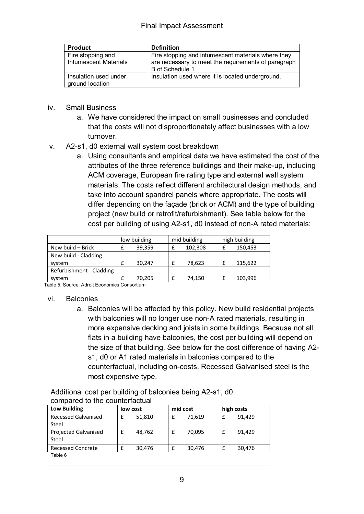| <b>Product</b>                                    | <b>Definition</b>                                                                                                            |
|---------------------------------------------------|------------------------------------------------------------------------------------------------------------------------------|
| Fire stopping and<br><b>Intumescent Materials</b> | Fire stopping and intumescent materials where they<br>are necessary to meet the requirements of paragraph<br>B of Schedule 1 |
| Insulation used under<br>ground location          | Insulation used where it is located underground.                                                                             |

- iv. Small Business
	- a. We have considered the impact on small businesses and concluded that the costs will not disproportionately affect businesses with a low turnover.
- v. A2-s1, d0 external wall system cost breakdown
	- a. Using consultants and empirical data we have estimated the cost of the attributes of the three reference buildings and their make-up, including ACM coverage, European fire rating type and external wall system materials. The costs reflect different architectural design methods, and take into account spandrel panels where appropriate. The costs will differ depending on the façade (brick or ACM) and the type of building project (new build or retrofit/refurbishment). See table below for the cost per building of using A2-s1, d0 instead of non-A rated materials:

|                          | low building |        | mid building |         | high building |         |
|--------------------------|--------------|--------|--------------|---------|---------------|---------|
| New build - Brick        |              | 39,359 |              | 102,308 |               | 150,453 |
| New build - Cladding     |              |        |              |         |               |         |
| system                   |              | 30.247 |              | 78,623  |               | 115,622 |
| Refurbishment - Cladding |              |        |              |         |               |         |
| system                   |              | 70,205 |              | 74,150  |               | 103,996 |

Table 5. Source: Adroit Economics Consortium

#### vi. Balconies

a. Balconies will be affected by this policy. New build residential projects with balconies will no longer use non-A rated materials, resulting in more expensive decking and joists in some buildings. Because not all flats in a building have balconies, the cost per building will depend on the size of that building. See below for the cost difference of having A2 s1, d0 or A1 rated materials in balconies compared to the counterfactual, including on-costs. Recessed Galvanised steel is the most expensive type.

Additional cost per building of balconies being A2-s1, d0 compared to the counterfactual

| <b>Low Building</b>                  | mid cost<br>low cost |  | high costs |  |        |
|--------------------------------------|----------------------|--|------------|--|--------|
| <b>Recessed Galvanised</b><br>Steel  | 51,810               |  | 71,619     |  | 91.429 |
| <b>Projected Galvanised</b><br>Steel | 48,762               |  | 70,095     |  | 91,429 |
| <b>Recessed Concrete</b><br>Table 6  | 30,476               |  | 30,476     |  | 30,476 |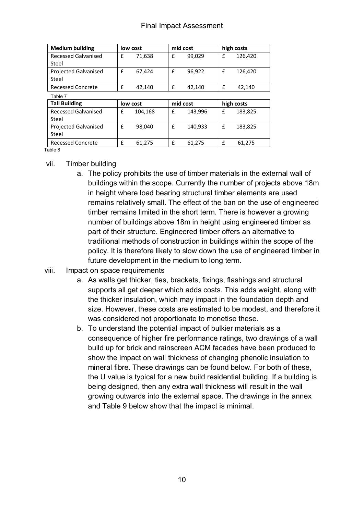| <b>Medium building</b>      | mid cost<br>low cost |         |          | high costs |            |         |
|-----------------------------|----------------------|---------|----------|------------|------------|---------|
| <b>Recessed Galvanised</b>  | £                    | 71.638  | £        | 99.029     | £          | 126.420 |
| Steel                       |                      |         |          |            |            |         |
| <b>Projected Galvanised</b> | £                    | 67,424  | £        | 96,922     | £          | 126,420 |
| Steel                       |                      |         |          |            |            |         |
| <b>Recessed Concrete</b>    | £                    | 42,140  | £        | 42,140     | £          | 42,140  |
| Table 7                     |                      |         |          |            |            |         |
| <b>Tall Building</b>        | low cost             |         | mid cost |            | high costs |         |
| <b>Recessed Galvanised</b>  | £                    | 104.168 | £        | 143.996    | £          | 183.825 |
| Steel                       |                      |         |          |            |            |         |
| <b>Projected Galvanised</b> | f                    | 98.040  | £        | 140,933    | f          | 183,825 |
| Steel                       |                      |         |          |            |            |         |
| <b>Recessed Concrete</b>    | £                    | 61,275  | £        | 61,275     | £          | 61,275  |

Table 8

#### vii. Timber building

- a. The policy prohibits the use of timber materials in the external wall of buildings within the scope. Currently the number of projects above 18m in height where load bearing structural timber elements are used remains relatively small. The effect of the ban on the use of engineered timber remains limited in the short term. There is however a growing number of buildings above 18m in height using engineered timber as part of their structure. Engineered timber offers an alternative to traditional methods of construction in buildings within the scope of the policy. It is therefore likely to slow down the use of engineered timber in future development in the medium to long term.
- viii. Impact on space requirements
	- a. As walls get thicker, ties, brackets, fixings, flashings and structural supports all get deeper which adds costs. This adds weight, along with the thicker insulation, which may impact in the foundation depth and size. However, these costs are estimated to be modest, and therefore it was considered not proportionate to monetise these.
	- b. To understand the potential impact of bulkier materials as a consequence of higher fire performance ratings, two drawings of a wall build up for brick and rainscreen ACM facades have been produced to show the impact on wall thickness of changing phenolic insulation to mineral fibre. These drawings can be found below. For both of these, the U value is typical for a new build residential building. If a building is being designed, then any extra wall thickness will result in the wall growing outwards into the external space. The drawings in the annex and Table 9 below show that the impact is minimal.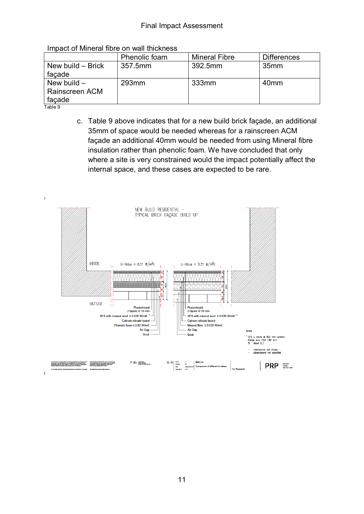#### Final Impact Assessment

|                   | Phenolic foam | <b>Mineral Fibre</b> | <b>Differences</b> |
|-------------------|---------------|----------------------|--------------------|
| New build - Brick | 357.5mm       | 392.5mm              | 35 <sub>mm</sub>   |
| façade            |               |                      |                    |
| New build $-$     | $293$ mm      | 333mm                | 40 <sub>mm</sub>   |
| Rainscreen ACM    |               |                      |                    |
| facade            |               |                      |                    |

Impact of Mineral fibre on wall thickness

Table 9

c. Table 9 above indicates that for a new build brick façade, an additional 35mm of space would be needed whereas for a rainscreen ACM façade an additional 40mm would be needed from using Mineral fibre insulation rather than phenolic foam. We have concluded that only where a site is very constrained would the impact potentially affect the internal space, and these cases are expected to be rare.